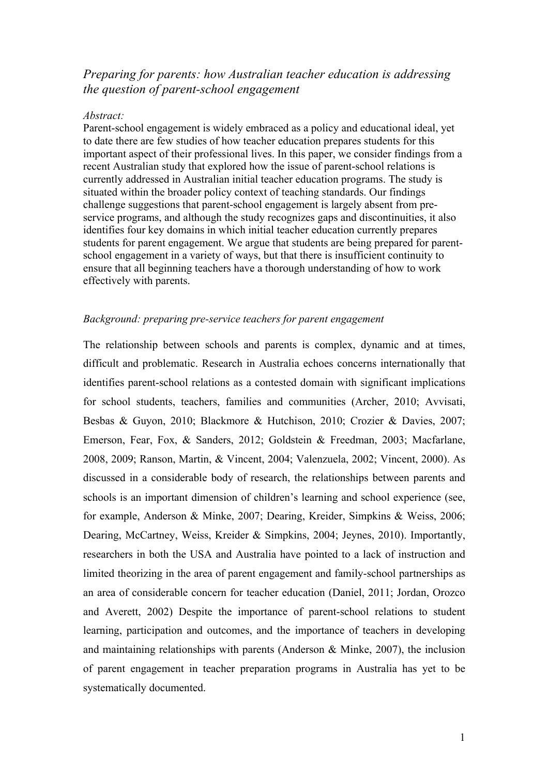# *Preparing for parents: how Australian teacher education is addressing the question of parent-school engagement*

### *Abstract:*

Parent-school engagement is widely embraced as a policy and educational ideal, yet to date there are few studies of how teacher education prepares students for this important aspect of their professional lives. In this paper, we consider findings from a recent Australian study that explored how the issue of parent-school relations is currently addressed in Australian initial teacher education programs. The study is situated within the broader policy context of teaching standards. Our findings challenge suggestions that parent-school engagement is largely absent from preservice programs, and although the study recognizes gaps and discontinuities, it also identifies four key domains in which initial teacher education currently prepares students for parent engagement. We argue that students are being prepared for parentschool engagement in a variety of ways, but that there is insufficient continuity to ensure that all beginning teachers have a thorough understanding of how to work effectively with parents.

### *Background: preparing pre-service teachers for parent engagement*

The relationship between schools and parents is complex, dynamic and at times, difficult and problematic. Research in Australia echoes concerns internationally that identifies parent-school relations as a contested domain with significant implications for school students, teachers, families and communities (Archer, 2010; Avvisati, Besbas & Guyon, 2010; Blackmore & Hutchison, 2010; Crozier & Davies, 2007; Emerson, Fear, Fox, & Sanders, 2012; Goldstein & Freedman, 2003; Macfarlane, 2008, 2009; Ranson, Martin, & Vincent, 2004; Valenzuela, 2002; Vincent, 2000). As discussed in a considerable body of research, the relationships between parents and schools is an important dimension of children's learning and school experience (see, for example, Anderson & Minke, 2007; Dearing, Kreider, Simpkins & Weiss, 2006; Dearing, McCartney, Weiss, Kreider & Simpkins, 2004; Jeynes, 2010). Importantly, researchers in both the USA and Australia have pointed to a lack of instruction and limited theorizing in the area of parent engagement and family-school partnerships as an area of considerable concern for teacher education (Daniel, 2011; Jordan, Orozco and Averett, 2002) Despite the importance of parent-school relations to student learning, participation and outcomes, and the importance of teachers in developing and maintaining relationships with parents (Anderson  $\&$  Minke, 2007), the inclusion of parent engagement in teacher preparation programs in Australia has yet to be systematically documented.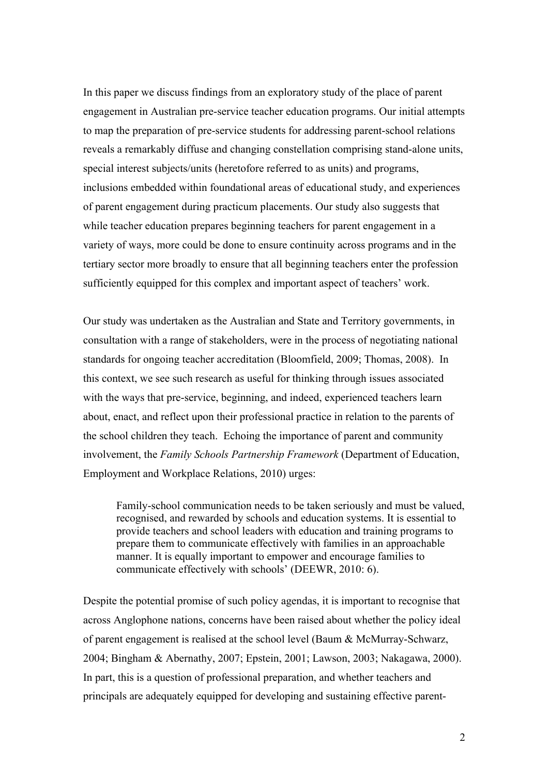In this paper we discuss findings from an exploratory study of the place of parent engagement in Australian pre-service teacher education programs. Our initial attempts to map the preparation of pre-service students for addressing parent-school relations reveals a remarkably diffuse and changing constellation comprising stand-alone units, special interest subjects/units (heretofore referred to as units) and programs, inclusions embedded within foundational areas of educational study, and experiences of parent engagement during practicum placements. Our study also suggests that while teacher education prepares beginning teachers for parent engagement in a variety of ways, more could be done to ensure continuity across programs and in the tertiary sector more broadly to ensure that all beginning teachers enter the profession sufficiently equipped for this complex and important aspect of teachers' work.

Our study was undertaken as the Australian and State and Territory governments, in consultation with a range of stakeholders, were in the process of negotiating national standards for ongoing teacher accreditation (Bloomfield, 2009; Thomas, 2008). In this context, we see such research as useful for thinking through issues associated with the ways that pre-service, beginning, and indeed, experienced teachers learn about, enact, and reflect upon their professional practice in relation to the parents of the school children they teach. Echoing the importance of parent and community involvement, the *Family Schools Partnership Framework* (Department of Education, Employment and Workplace Relations, 2010) urges:

Family-school communication needs to be taken seriously and must be valued, recognised, and rewarded by schools and education systems. It is essential to provide teachers and school leaders with education and training programs to prepare them to communicate effectively with families in an approachable manner. It is equally important to empower and encourage families to communicate effectively with schools' (DEEWR, 2010: 6).

Despite the potential promise of such policy agendas, it is important to recognise that across Anglophone nations, concerns have been raised about whether the policy ideal of parent engagement is realised at the school level (Baum & McMurray-Schwarz, 2004; Bingham & Abernathy, 2007; Epstein, 2001; Lawson, 2003; Nakagawa, 2000). In part, this is a question of professional preparation, and whether teachers and principals are adequately equipped for developing and sustaining effective parent-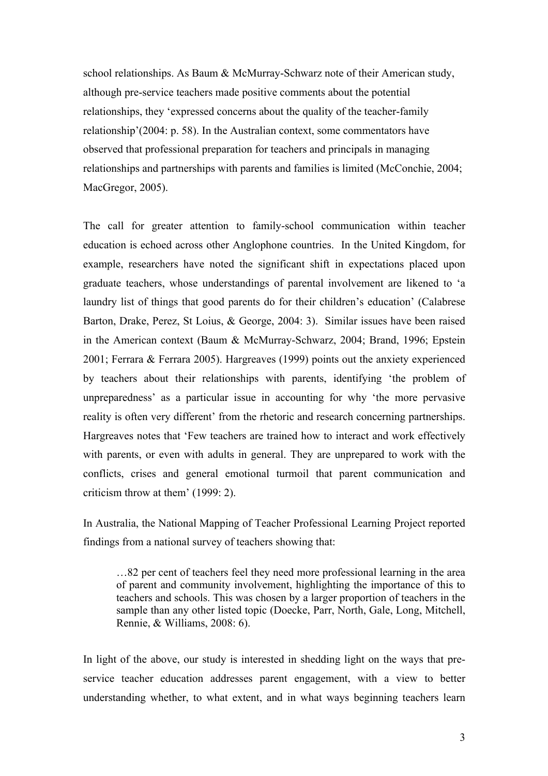school relationships. As Baum & McMurray-Schwarz note of their American study, although pre-service teachers made positive comments about the potential relationships, they 'expressed concerns about the quality of the teacher-family relationship'(2004: p. 58). In the Australian context, some commentators have observed that professional preparation for teachers and principals in managing relationships and partnerships with parents and families is limited (McConchie, 2004; MacGregor, 2005).

The call for greater attention to family-school communication within teacher education is echoed across other Anglophone countries. In the United Kingdom, for example, researchers have noted the significant shift in expectations placed upon graduate teachers, whose understandings of parental involvement are likened to 'a laundry list of things that good parents do for their children's education' (Calabrese Barton, Drake, Perez, St Loius, & George, 2004: 3). Similar issues have been raised in the American context (Baum & McMurray-Schwarz, 2004; Brand, 1996; Epstein 2001; Ferrara & Ferrara 2005). Hargreaves (1999) points out the anxiety experienced by teachers about their relationships with parents, identifying 'the problem of unpreparedness' as a particular issue in accounting for why 'the more pervasive reality is often very different' from the rhetoric and research concerning partnerships. Hargreaves notes that 'Few teachers are trained how to interact and work effectively with parents, or even with adults in general. They are unprepared to work with the conflicts, crises and general emotional turmoil that parent communication and criticism throw at them' (1999: 2).

In Australia, the National Mapping of Teacher Professional Learning Project reported findings from a national survey of teachers showing that:

…82 per cent of teachers feel they need more professional learning in the area of parent and community involvement, highlighting the importance of this to teachers and schools. This was chosen by a larger proportion of teachers in the sample than any other listed topic (Doecke, Parr, North, Gale, Long, Mitchell, Rennie, & Williams, 2008: 6).

In light of the above, our study is interested in shedding light on the ways that preservice teacher education addresses parent engagement, with a view to better understanding whether, to what extent, and in what ways beginning teachers learn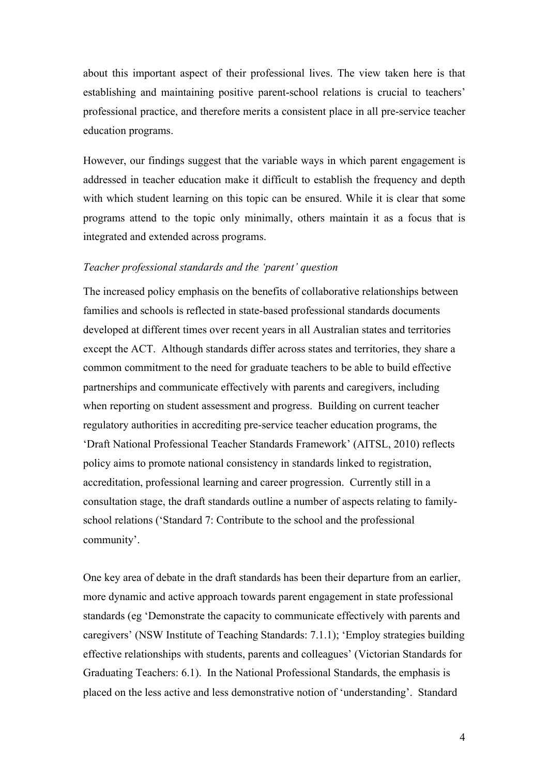about this important aspect of their professional lives. The view taken here is that establishing and maintaining positive parent-school relations is crucial to teachers' professional practice, and therefore merits a consistent place in all pre-service teacher education programs.

However, our findings suggest that the variable ways in which parent engagement is addressed in teacher education make it difficult to establish the frequency and depth with which student learning on this topic can be ensured. While it is clear that some programs attend to the topic only minimally, others maintain it as a focus that is integrated and extended across programs.

#### *Teacher professional standards and the 'parent' question*

The increased policy emphasis on the benefits of collaborative relationships between families and schools is reflected in state-based professional standards documents developed at different times over recent years in all Australian states and territories except the ACT. Although standards differ across states and territories, they share a common commitment to the need for graduate teachers to be able to build effective partnerships and communicate effectively with parents and caregivers, including when reporting on student assessment and progress. Building on current teacher regulatory authorities in accrediting pre-service teacher education programs, the 'Draft National Professional Teacher Standards Framework' (AITSL, 2010) reflects policy aims to promote national consistency in standards linked to registration, accreditation, professional learning and career progression. Currently still in a consultation stage, the draft standards outline a number of aspects relating to familyschool relations ('Standard 7: Contribute to the school and the professional community'.

One key area of debate in the draft standards has been their departure from an earlier, more dynamic and active approach towards parent engagement in state professional standards (eg 'Demonstrate the capacity to communicate effectively with parents and caregivers' (NSW Institute of Teaching Standards: 7.1.1); 'Employ strategies building effective relationships with students, parents and colleagues' (Victorian Standards for Graduating Teachers: 6.1). In the National Professional Standards, the emphasis is placed on the less active and less demonstrative notion of 'understanding'. Standard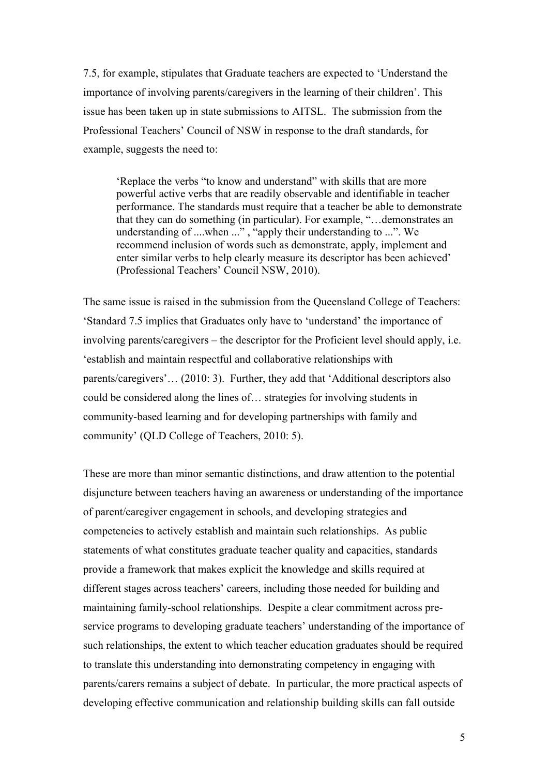7.5, for example, stipulates that Graduate teachers are expected to 'Understand the importance of involving parents/caregivers in the learning of their children'. This issue has been taken up in state submissions to AITSL. The submission from the Professional Teachers' Council of NSW in response to the draft standards, for example, suggests the need to:

'Replace the verbs "to know and understand" with skills that are more powerful active verbs that are readily observable and identifiable in teacher performance. The standards must require that a teacher be able to demonstrate that they can do something (in particular). For example, "…demonstrates an understanding of ....when ..." , "apply their understanding to ...". We recommend inclusion of words such as demonstrate, apply, implement and enter similar verbs to help clearly measure its descriptor has been achieved' (Professional Teachers' Council NSW, 2010).

The same issue is raised in the submission from the Queensland College of Teachers: 'Standard 7.5 implies that Graduates only have to 'understand' the importance of involving parents/caregivers – the descriptor for the Proficient level should apply, i.e. 'establish and maintain respectful and collaborative relationships with parents/caregivers'… (2010: 3). Further, they add that 'Additional descriptors also could be considered along the lines of… strategies for involving students in community-based learning and for developing partnerships with family and community' (QLD College of Teachers, 2010: 5).

These are more than minor semantic distinctions, and draw attention to the potential disjuncture between teachers having an awareness or understanding of the importance of parent/caregiver engagement in schools, and developing strategies and competencies to actively establish and maintain such relationships. As public statements of what constitutes graduate teacher quality and capacities, standards provide a framework that makes explicit the knowledge and skills required at different stages across teachers' careers, including those needed for building and maintaining family-school relationships. Despite a clear commitment across preservice programs to developing graduate teachers' understanding of the importance of such relationships, the extent to which teacher education graduates should be required to translate this understanding into demonstrating competency in engaging with parents/carers remains a subject of debate. In particular, the more practical aspects of developing effective communication and relationship building skills can fall outside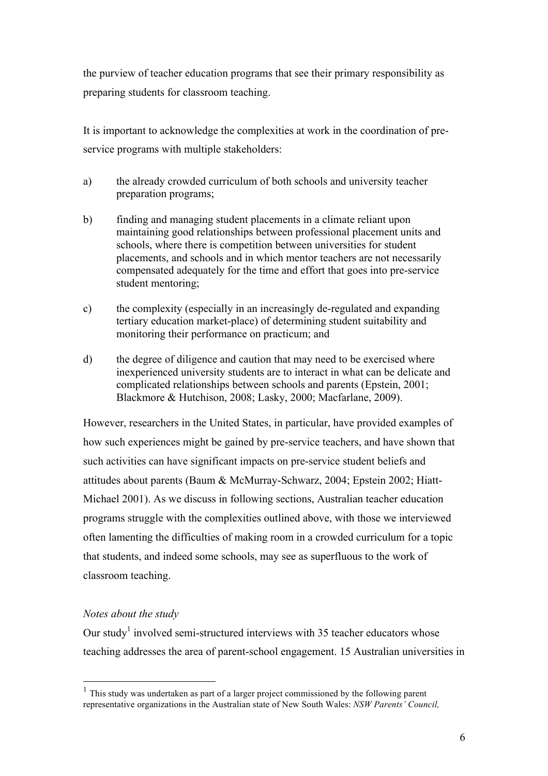the purview of teacher education programs that see their primary responsibility as preparing students for classroom teaching.

It is important to acknowledge the complexities at work in the coordination of preservice programs with multiple stakeholders:

- a) the already crowded curriculum of both schools and university teacher preparation programs;
- b) finding and managing student placements in a climate reliant upon maintaining good relationships between professional placement units and schools, where there is competition between universities for student placements, and schools and in which mentor teachers are not necessarily compensated adequately for the time and effort that goes into pre-service student mentoring;
- c) the complexity (especially in an increasingly de-regulated and expanding tertiary education market-place) of determining student suitability and monitoring their performance on practicum; and
- d) the degree of diligence and caution that may need to be exercised where inexperienced university students are to interact in what can be delicate and complicated relationships between schools and parents (Epstein, 2001; Blackmore & Hutchison, 2008; Lasky, 2000; Macfarlane, 2009).

However, researchers in the United States, in particular, have provided examples of how such experiences might be gained by pre-service teachers, and have shown that such activities can have significant impacts on pre-service student beliefs and attitudes about parents (Baum & McMurray-Schwarz, 2004; Epstein 2002; Hiatt-Michael 2001). As we discuss in following sections, Australian teacher education programs struggle with the complexities outlined above, with those we interviewed often lamenting the difficulties of making room in a crowded curriculum for a topic that students, and indeed some schools, may see as superfluous to the work of classroom teaching.

## *Notes about the study*

Our study<sup>1</sup> involved semi-structured interviews with 35 teacher educators whose teaching addresses the area of parent-school engagement. 15 Australian universities in

 <sup>1</sup> This study was undertaken as part of a larger project commissioned by the following parent representative organizations in the Australian state of New South Wales: *NSW Parents' Council,*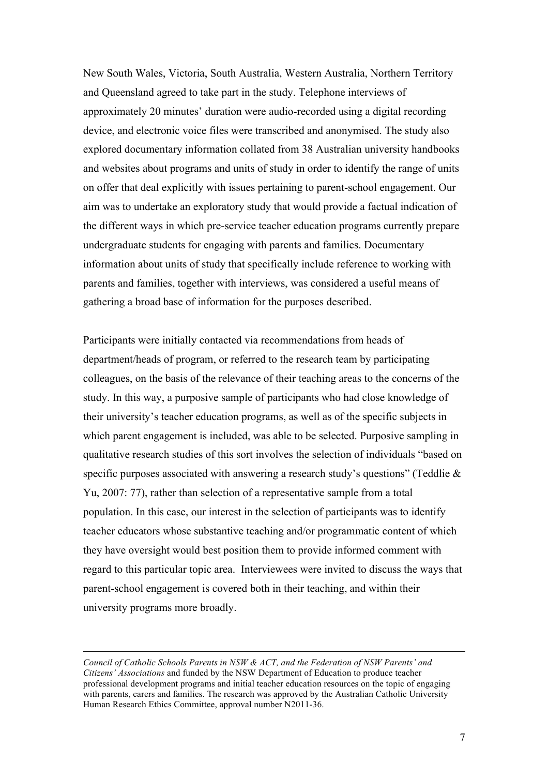New South Wales, Victoria, South Australia, Western Australia, Northern Territory and Queensland agreed to take part in the study. Telephone interviews of approximately 20 minutes' duration were audio-recorded using a digital recording device, and electronic voice files were transcribed and anonymised. The study also explored documentary information collated from 38 Australian university handbooks and websites about programs and units of study in order to identify the range of units on offer that deal explicitly with issues pertaining to parent-school engagement. Our aim was to undertake an exploratory study that would provide a factual indication of the different ways in which pre-service teacher education programs currently prepare undergraduate students for engaging with parents and families. Documentary information about units of study that specifically include reference to working with parents and families, together with interviews, was considered a useful means of gathering a broad base of information for the purposes described.

Participants were initially contacted via recommendations from heads of department/heads of program, or referred to the research team by participating colleagues, on the basis of the relevance of their teaching areas to the concerns of the study. In this way, a purposive sample of participants who had close knowledge of their university's teacher education programs, as well as of the specific subjects in which parent engagement is included, was able to be selected. Purposive sampling in qualitative research studies of this sort involves the selection of individuals "based on specific purposes associated with answering a research study's questions" (Teddlie & Yu, 2007: 77), rather than selection of a representative sample from a total population. In this case, our interest in the selection of participants was to identify teacher educators whose substantive teaching and/or programmatic content of which they have oversight would best position them to provide informed comment with regard to this particular topic area. Interviewees were invited to discuss the ways that parent-school engagement is covered both in their teaching, and within their university programs more broadly.

<u>.</u>

*Council of Catholic Schools Parents in NSW & ACT, and the Federation of NSW Parents' and Citizens' Associations* and funded by the NSW Department of Education to produce teacher professional development programs and initial teacher education resources on the topic of engaging with parents, carers and families. The research was approved by the Australian Catholic University Human Research Ethics Committee, approval number N2011-36.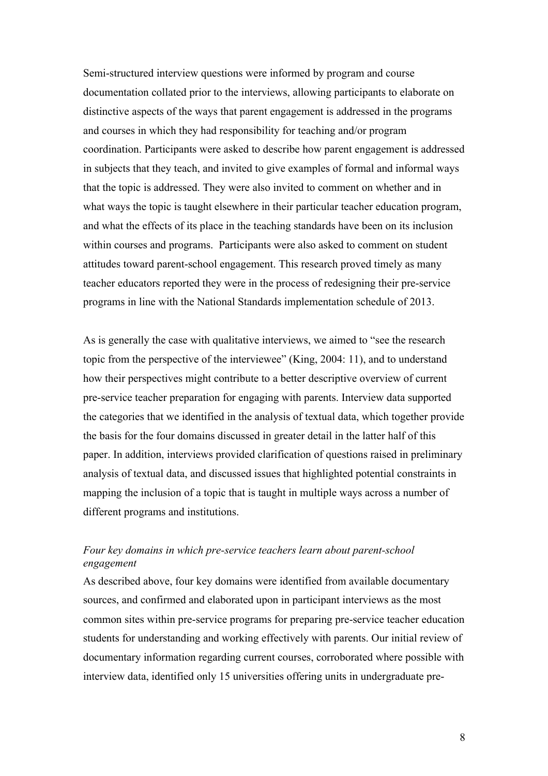Semi-structured interview questions were informed by program and course documentation collated prior to the interviews, allowing participants to elaborate on distinctive aspects of the ways that parent engagement is addressed in the programs and courses in which they had responsibility for teaching and/or program coordination. Participants were asked to describe how parent engagement is addressed in subjects that they teach, and invited to give examples of formal and informal ways that the topic is addressed. They were also invited to comment on whether and in what ways the topic is taught elsewhere in their particular teacher education program, and what the effects of its place in the teaching standards have been on its inclusion within courses and programs. Participants were also asked to comment on student attitudes toward parent-school engagement. This research proved timely as many teacher educators reported they were in the process of redesigning their pre-service programs in line with the National Standards implementation schedule of 2013.

As is generally the case with qualitative interviews, we aimed to "see the research topic from the perspective of the interviewee" (King, 2004: 11), and to understand how their perspectives might contribute to a better descriptive overview of current pre-service teacher preparation for engaging with parents. Interview data supported the categories that we identified in the analysis of textual data, which together provide the basis for the four domains discussed in greater detail in the latter half of this paper. In addition, interviews provided clarification of questions raised in preliminary analysis of textual data, and discussed issues that highlighted potential constraints in mapping the inclusion of a topic that is taught in multiple ways across a number of different programs and institutions.

# *Four key domains in which pre-service teachers learn about parent-school engagement*

As described above, four key domains were identified from available documentary sources, and confirmed and elaborated upon in participant interviews as the most common sites within pre-service programs for preparing pre-service teacher education students for understanding and working effectively with parents. Our initial review of documentary information regarding current courses, corroborated where possible with interview data, identified only 15 universities offering units in undergraduate pre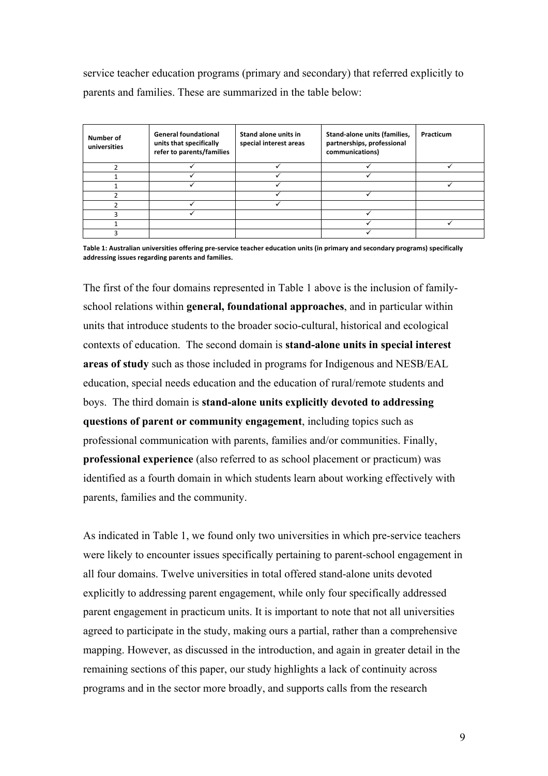service teacher education programs (primary and secondary) that referred explicitly to parents and families. These are summarized in the table below:

| Number of<br>universities | <b>General foundational</b><br>units that specifically<br>refer to parents/families | Stand alone units in<br>special interest areas | Stand-alone units (families,<br>partnerships, professional<br>communications) | Practicum |  |
|---------------------------|-------------------------------------------------------------------------------------|------------------------------------------------|-------------------------------------------------------------------------------|-----------|--|
|                           |                                                                                     |                                                |                                                                               |           |  |
|                           |                                                                                     |                                                |                                                                               |           |  |
|                           |                                                                                     |                                                |                                                                               |           |  |
|                           |                                                                                     |                                                |                                                                               |           |  |
|                           |                                                                                     |                                                |                                                                               |           |  |
|                           |                                                                                     |                                                |                                                                               |           |  |
|                           |                                                                                     |                                                |                                                                               |           |  |
|                           |                                                                                     |                                                |                                                                               |           |  |

Table 1: Australian universities offering pre-service teacher education units (in primary and secondary programs) specifically addressing issues regarding parents and families.

The first of the four domains represented in Table 1 above is the inclusion of familyschool relations within **general, foundational approaches**, and in particular within units that introduce students to the broader socio-cultural, historical and ecological contexts of education. The second domain is **stand-alone units in special interest areas of study** such as those included in programs for Indigenous and NESB/EAL education, special needs education and the education of rural/remote students and boys. The third domain is **stand-alone units explicitly devoted to addressing questions of parent or community engagement**, including topics such as professional communication with parents, families and/or communities. Finally, **professional experience** (also referred to as school placement or practicum) was identified as a fourth domain in which students learn about working effectively with parents, families and the community.

As indicated in Table 1, we found only two universities in which pre-service teachers were likely to encounter issues specifically pertaining to parent-school engagement in all four domains. Twelve universities in total offered stand-alone units devoted explicitly to addressing parent engagement, while only four specifically addressed parent engagement in practicum units. It is important to note that not all universities agreed to participate in the study, making ours a partial, rather than a comprehensive mapping. However, as discussed in the introduction, and again in greater detail in the remaining sections of this paper, our study highlights a lack of continuity across programs and in the sector more broadly, and supports calls from the research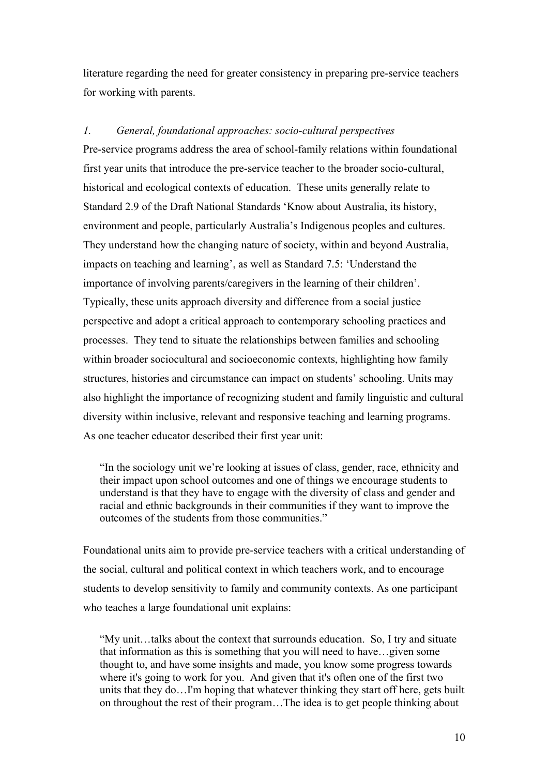literature regarding the need for greater consistency in preparing pre-service teachers for working with parents.

### *1. General, foundational approaches: socio-cultural perspectives*

Pre-service programs address the area of school-family relations within foundational first year units that introduce the pre-service teacher to the broader socio-cultural, historical and ecological contexts of education. These units generally relate to Standard 2.9 of the Draft National Standards 'Know about Australia, its history, environment and people, particularly Australia's Indigenous peoples and cultures. They understand how the changing nature of society, within and beyond Australia, impacts on teaching and learning', as well as Standard 7.5: 'Understand the importance of involving parents/caregivers in the learning of their children'. Typically, these units approach diversity and difference from a social justice perspective and adopt a critical approach to contemporary schooling practices and processes. They tend to situate the relationships between families and schooling within broader sociocultural and socioeconomic contexts, highlighting how family structures, histories and circumstance can impact on students' schooling. Units may also highlight the importance of recognizing student and family linguistic and cultural diversity within inclusive, relevant and responsive teaching and learning programs. As one teacher educator described their first year unit:

"In the sociology unit we're looking at issues of class, gender, race, ethnicity and their impact upon school outcomes and one of things we encourage students to understand is that they have to engage with the diversity of class and gender and racial and ethnic backgrounds in their communities if they want to improve the outcomes of the students from those communities."

Foundational units aim to provide pre-service teachers with a critical understanding of the social, cultural and political context in which teachers work, and to encourage students to develop sensitivity to family and community contexts. As one participant who teaches a large foundational unit explains:

"My unit…talks about the context that surrounds education. So, I try and situate that information as this is something that you will need to have…given some thought to, and have some insights and made, you know some progress towards where it's going to work for you. And given that it's often one of the first two units that they do…I'm hoping that whatever thinking they start off here, gets built on throughout the rest of their program…The idea is to get people thinking about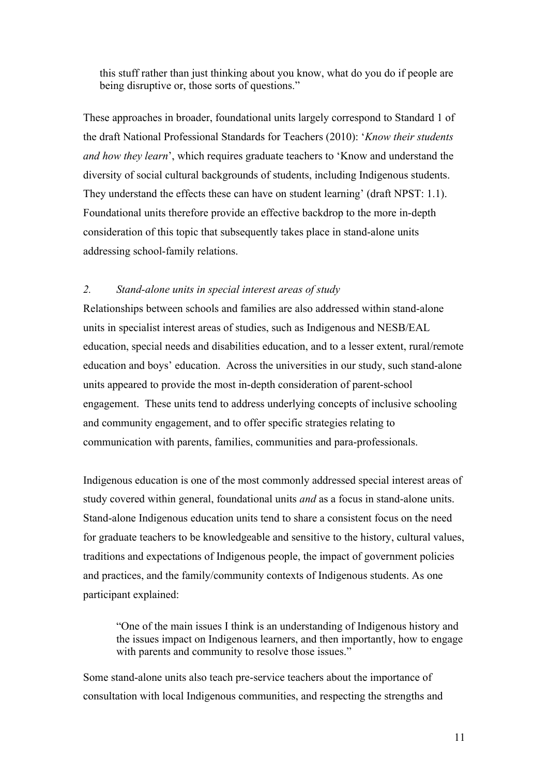this stuff rather than just thinking about you know, what do you do if people are being disruptive or, those sorts of questions."

These approaches in broader, foundational units largely correspond to Standard 1 of the draft National Professional Standards for Teachers (2010): '*Know their students and how they learn*', which requires graduate teachers to 'Know and understand the diversity of social cultural backgrounds of students, including Indigenous students. They understand the effects these can have on student learning' (draft NPST: 1.1). Foundational units therefore provide an effective backdrop to the more in-depth consideration of this topic that subsequently takes place in stand-alone units addressing school-family relations.

### *2. Stand-alone units in special interest areas of study*

Relationships between schools and families are also addressed within stand-alone units in specialist interest areas of studies, such as Indigenous and NESB/EAL education, special needs and disabilities education, and to a lesser extent, rural/remote education and boys' education. Across the universities in our study, such stand-alone units appeared to provide the most in-depth consideration of parent-school engagement. These units tend to address underlying concepts of inclusive schooling and community engagement, and to offer specific strategies relating to communication with parents, families, communities and para-professionals.

Indigenous education is one of the most commonly addressed special interest areas of study covered within general, foundational units *and* as a focus in stand-alone units. Stand-alone Indigenous education units tend to share a consistent focus on the need for graduate teachers to be knowledgeable and sensitive to the history, cultural values, traditions and expectations of Indigenous people, the impact of government policies and practices, and the family/community contexts of Indigenous students. As one participant explained:

"One of the main issues I think is an understanding of Indigenous history and the issues impact on Indigenous learners, and then importantly, how to engage with parents and community to resolve those issues."

Some stand-alone units also teach pre-service teachers about the importance of consultation with local Indigenous communities, and respecting the strengths and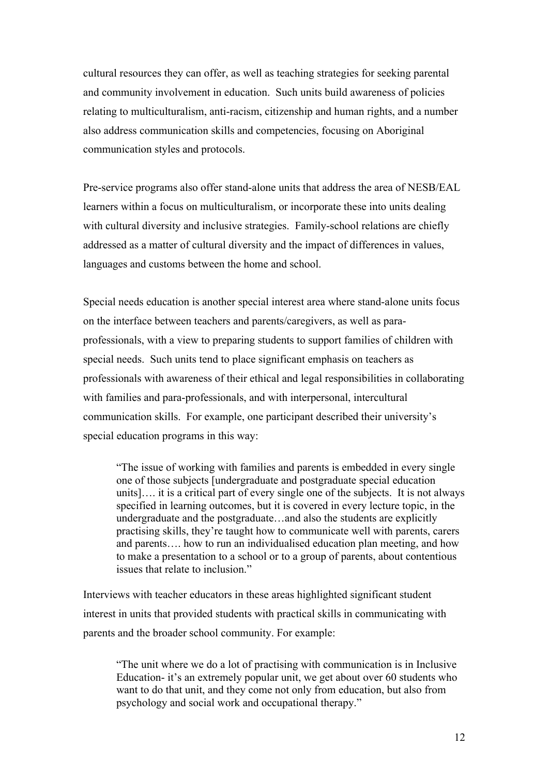cultural resources they can offer, as well as teaching strategies for seeking parental and community involvement in education. Such units build awareness of policies relating to multiculturalism, anti-racism, citizenship and human rights, and a number also address communication skills and competencies, focusing on Aboriginal communication styles and protocols.

Pre-service programs also offer stand-alone units that address the area of NESB/EAL learners within a focus on multiculturalism, or incorporate these into units dealing with cultural diversity and inclusive strategies. Family-school relations are chiefly addressed as a matter of cultural diversity and the impact of differences in values, languages and customs between the home and school.

Special needs education is another special interest area where stand-alone units focus on the interface between teachers and parents/caregivers, as well as paraprofessionals, with a view to preparing students to support families of children with special needs. Such units tend to place significant emphasis on teachers as professionals with awareness of their ethical and legal responsibilities in collaborating with families and para-professionals, and with interpersonal, intercultural communication skills. For example, one participant described their university's special education programs in this way:

"The issue of working with families and parents is embedded in every single one of those subjects [undergraduate and postgraduate special education units]…. it is a critical part of every single one of the subjects. It is not always specified in learning outcomes, but it is covered in every lecture topic, in the undergraduate and the postgraduate…and also the students are explicitly practising skills, they're taught how to communicate well with parents, carers and parents…. how to run an individualised education plan meeting, and how to make a presentation to a school or to a group of parents, about contentious issues that relate to inclusion."

Interviews with teacher educators in these areas highlighted significant student interest in units that provided students with practical skills in communicating with parents and the broader school community. For example:

"The unit where we do a lot of practising with communication is in Inclusive Education- it's an extremely popular unit, we get about over 60 students who want to do that unit, and they come not only from education, but also from psychology and social work and occupational therapy."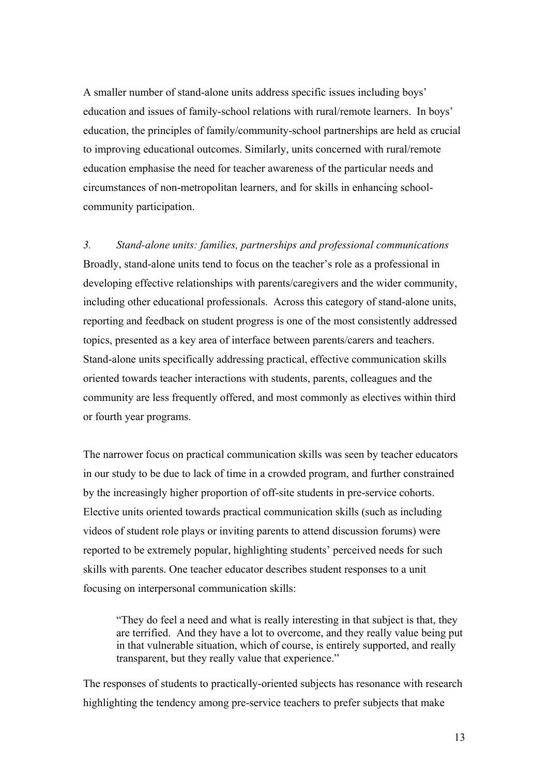A smaller number of stand-alone units address specific issues including boys' education and issues of family-school relations with rural/remote learners. In boys' education, the principles of family/community-school partnerships are held as crucial to improving educational outcomes. Similarly, units concerned with rural/remote education emphasise the need for teacher awareness of the particular needs and circumstances of non-metropolitan learners, and for skills in enhancing schoolcommunity participation.

*3. Stand-alone units: families, partnerships and professional communications* Broadly, stand-alone units tend to focus on the teacher's role as a professional in developing effective relationships with parents/caregivers and the wider community, including other educational professionals. Across this category of stand-alone units, reporting and feedback on student progress is one of the most consistently addressed topics, presented as a key area of interface between parents/carers and teachers. Stand-alone units specifically addressing practical, effective communication skills oriented towards teacher interactions with students, parents, colleagues and the community are less frequently offered, and most commonly as electives within third or fourth year programs.

The narrower focus on practical communication skills was seen by teacher educators in our study to be due to lack of time in a crowded program, and further constrained by the increasingly higher proportion of off-site students in pre-service cohorts. Elective units oriented towards practical communication skills (such as including videos of student role plays or inviting parents to attend discussion forums) were reported to be extremely popular, highlighting students' perceived needs for such skills with parents. One teacher educator describes student responses to a unit focusing on interpersonal communication skills:

"They do feel a need and what is really interesting in that subject is that, they are terrified. And they have a lot to overcome, and they really value being put in that vulnerable situation, which of course, is entirely supported, and really transparent, but they really value that experience."

The responses of students to practically-oriented subjects has resonance with research highlighting the tendency among pre-service teachers to prefer subjects that make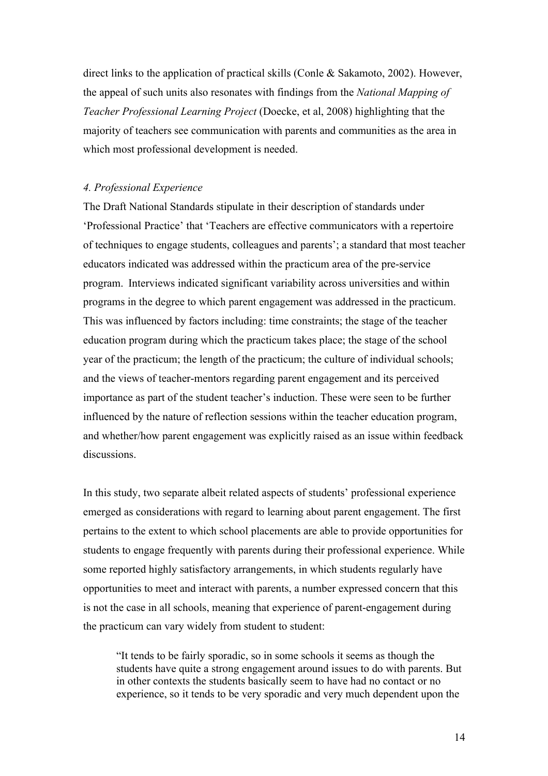direct links to the application of practical skills (Conle & Sakamoto, 2002). However, the appeal of such units also resonates with findings from the *National Mapping of Teacher Professional Learning Project* (Doecke, et al, 2008) highlighting that the majority of teachers see communication with parents and communities as the area in which most professional development is needed.

### *4. Professional Experience*

The Draft National Standards stipulate in their description of standards under 'Professional Practice' that 'Teachers are effective communicators with a repertoire of techniques to engage students, colleagues and parents'; a standard that most teacher educators indicated was addressed within the practicum area of the pre-service program. Interviews indicated significant variability across universities and within programs in the degree to which parent engagement was addressed in the practicum. This was influenced by factors including: time constraints; the stage of the teacher education program during which the practicum takes place; the stage of the school year of the practicum; the length of the practicum; the culture of individual schools; and the views of teacher-mentors regarding parent engagement and its perceived importance as part of the student teacher's induction. These were seen to be further influenced by the nature of reflection sessions within the teacher education program, and whether/how parent engagement was explicitly raised as an issue within feedback discussions.

In this study, two separate albeit related aspects of students' professional experience emerged as considerations with regard to learning about parent engagement. The first pertains to the extent to which school placements are able to provide opportunities for students to engage frequently with parents during their professional experience. While some reported highly satisfactory arrangements, in which students regularly have opportunities to meet and interact with parents, a number expressed concern that this is not the case in all schools, meaning that experience of parent-engagement during the practicum can vary widely from student to student:

"It tends to be fairly sporadic, so in some schools it seems as though the students have quite a strong engagement around issues to do with parents. But in other contexts the students basically seem to have had no contact or no experience, so it tends to be very sporadic and very much dependent upon the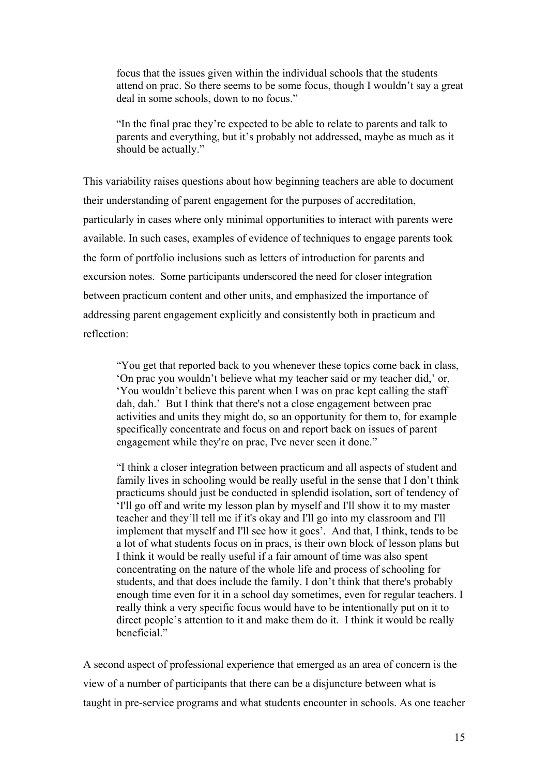focus that the issues given within the individual schools that the students attend on prac. So there seems to be some focus, though I wouldn't say a great deal in some schools, down to no focus."

"In the final prac they're expected to be able to relate to parents and talk to parents and everything, but it's probably not addressed, maybe as much as it should be actually."

This variability raises questions about how beginning teachers are able to document their understanding of parent engagement for the purposes of accreditation, particularly in cases where only minimal opportunities to interact with parents were available. In such cases, examples of evidence of techniques to engage parents took the form of portfolio inclusions such as letters of introduction for parents and excursion notes. Some participants underscored the need for closer integration between practicum content and other units, and emphasized the importance of addressing parent engagement explicitly and consistently both in practicum and reflection:

"You get that reported back to you whenever these topics come back in class, 'On prac you wouldn't believe what my teacher said or my teacher did,' or, 'You wouldn't believe this parent when I was on prac kept calling the staff dah, dah.' But I think that there's not a close engagement between prac activities and units they might do, so an opportunity for them to, for example specifically concentrate and focus on and report back on issues of parent engagement while they're on prac, I've never seen it done."

"I think a closer integration between practicum and all aspects of student and family lives in schooling would be really useful in the sense that I don't think practicums should just be conducted in splendid isolation, sort of tendency of 'I'll go off and write my lesson plan by myself and I'll show it to my master teacher and they'll tell me if it's okay and I'll go into my classroom and I'll implement that myself and I'll see how it goes'. And that, I think, tends to be a lot of what students focus on in pracs, is their own block of lesson plans but I think it would be really useful if a fair amount of time was also spent concentrating on the nature of the whole life and process of schooling for students, and that does include the family. I don't think that there's probably enough time even for it in a school day sometimes, even for regular teachers. I really think a very specific focus would have to be intentionally put on it to direct people's attention to it and make them do it. I think it would be really beneficial."

A second aspect of professional experience that emerged as an area of concern is the view of a number of participants that there can be a disjuncture between what is taught in pre-service programs and what students encounter in schools. As one teacher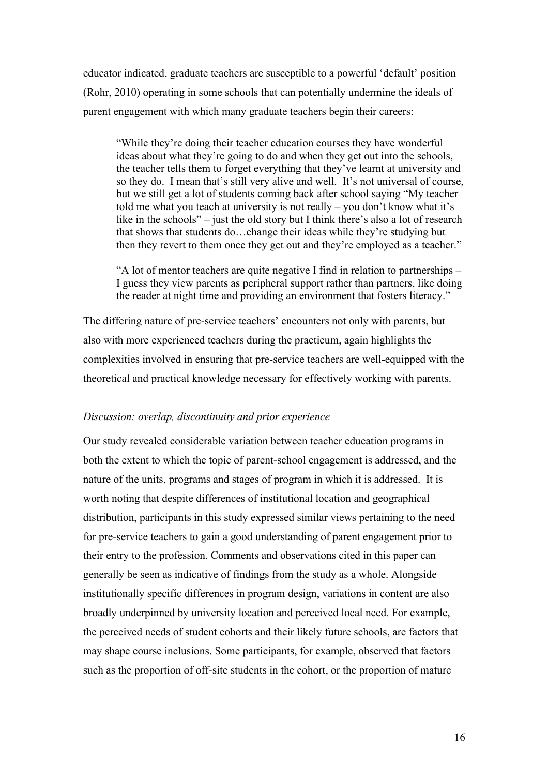educator indicated, graduate teachers are susceptible to a powerful 'default' position (Rohr, 2010) operating in some schools that can potentially undermine the ideals of parent engagement with which many graduate teachers begin their careers:

"While they're doing their teacher education courses they have wonderful ideas about what they're going to do and when they get out into the schools, the teacher tells them to forget everything that they've learnt at university and so they do. I mean that's still very alive and well. It's not universal of course, but we still get a lot of students coming back after school saying "My teacher told me what you teach at university is not really – you don't know what it's like in the schools" – just the old story but I think there's also a lot of research that shows that students do…change their ideas while they're studying but then they revert to them once they get out and they're employed as a teacher."

"A lot of mentor teachers are quite negative I find in relation to partnerships – I guess they view parents as peripheral support rather than partners, like doing the reader at night time and providing an environment that fosters literacy."

The differing nature of pre-service teachers' encounters not only with parents, but also with more experienced teachers during the practicum, again highlights the complexities involved in ensuring that pre-service teachers are well-equipped with the theoretical and practical knowledge necessary for effectively working with parents.

#### *Discussion: overlap, discontinuity and prior experience*

Our study revealed considerable variation between teacher education programs in both the extent to which the topic of parent-school engagement is addressed, and the nature of the units, programs and stages of program in which it is addressed. It is worth noting that despite differences of institutional location and geographical distribution, participants in this study expressed similar views pertaining to the need for pre-service teachers to gain a good understanding of parent engagement prior to their entry to the profession. Comments and observations cited in this paper can generally be seen as indicative of findings from the study as a whole. Alongside institutionally specific differences in program design, variations in content are also broadly underpinned by university location and perceived local need. For example, the perceived needs of student cohorts and their likely future schools, are factors that may shape course inclusions. Some participants, for example, observed that factors such as the proportion of off-site students in the cohort, or the proportion of mature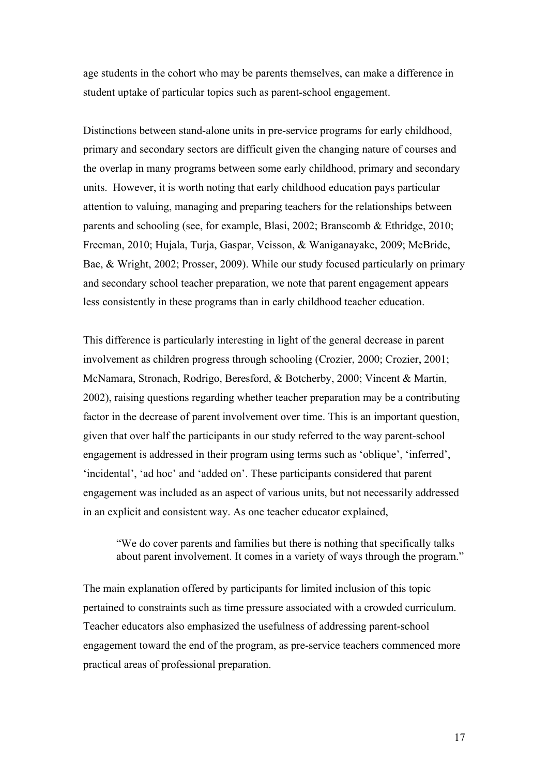age students in the cohort who may be parents themselves, can make a difference in student uptake of particular topics such as parent-school engagement.

Distinctions between stand-alone units in pre-service programs for early childhood, primary and secondary sectors are difficult given the changing nature of courses and the overlap in many programs between some early childhood, primary and secondary units. However, it is worth noting that early childhood education pays particular attention to valuing, managing and preparing teachers for the relationships between parents and schooling (see, for example, Blasi, 2002; Branscomb & Ethridge, 2010; Freeman, 2010; Hujala, Turja, Gaspar, Veisson, & Waniganayake, 2009; McBride, Bae, & Wright, 2002; Prosser, 2009). While our study focused particularly on primary and secondary school teacher preparation, we note that parent engagement appears less consistently in these programs than in early childhood teacher education.

This difference is particularly interesting in light of the general decrease in parent involvement as children progress through schooling (Crozier, 2000; Crozier, 2001; McNamara, Stronach, Rodrigo, Beresford, & Botcherby, 2000; Vincent & Martin, 2002), raising questions regarding whether teacher preparation may be a contributing factor in the decrease of parent involvement over time. This is an important question, given that over half the participants in our study referred to the way parent-school engagement is addressed in their program using terms such as 'oblique', 'inferred', 'incidental', 'ad hoc' and 'added on'. These participants considered that parent engagement was included as an aspect of various units, but not necessarily addressed in an explicit and consistent way. As one teacher educator explained,

"We do cover parents and families but there is nothing that specifically talks about parent involvement. It comes in a variety of ways through the program."

The main explanation offered by participants for limited inclusion of this topic pertained to constraints such as time pressure associated with a crowded curriculum. Teacher educators also emphasized the usefulness of addressing parent-school engagement toward the end of the program, as pre-service teachers commenced more practical areas of professional preparation.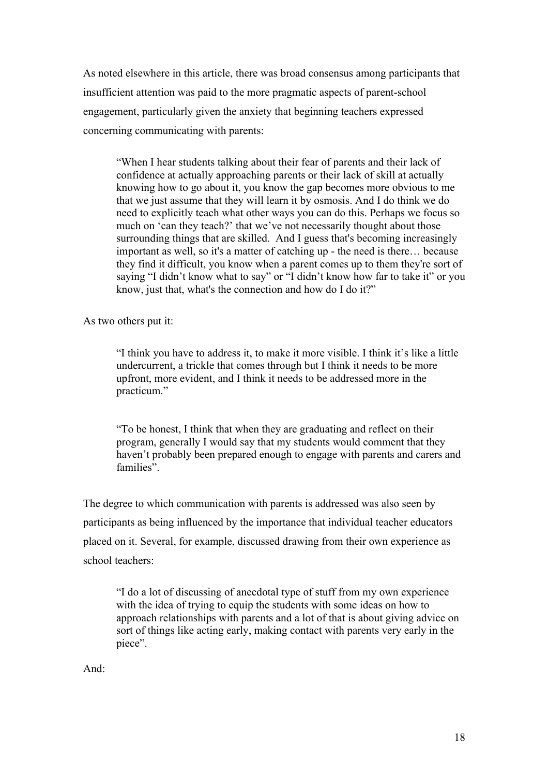As noted elsewhere in this article, there was broad consensus among participants that insufficient attention was paid to the more pragmatic aspects of parent-school engagement, particularly given the anxiety that beginning teachers expressed concerning communicating with parents:

"When I hear students talking about their fear of parents and their lack of confidence at actually approaching parents or their lack of skill at actually knowing how to go about it, you know the gap becomes more obvious to me that we just assume that they will learn it by osmosis. And I do think we do need to explicitly teach what other ways you can do this. Perhaps we focus so much on 'can they teach?' that we've not necessarily thought about those surrounding things that are skilled. And I guess that's becoming increasingly important as well, so it's a matter of catching up - the need is there… because they find it difficult, you know when a parent comes up to them they're sort of saying "I didn't know what to say" or "I didn't know how far to take it" or you know, just that, what's the connection and how do I do it?"

As two others put it:

"I think you have to address it, to make it more visible. I think it's like a little undercurrent, a trickle that comes through but I think it needs to be more upfront, more evident, and I think it needs to be addressed more in the practicum."

"To be honest, I think that when they are graduating and reflect on their program, generally I would say that my students would comment that they haven't probably been prepared enough to engage with parents and carers and families".

The degree to which communication with parents is addressed was also seen by participants as being influenced by the importance that individual teacher educators placed on it. Several, for example, discussed drawing from their own experience as school teachers:

"I do a lot of discussing of anecdotal type of stuff from my own experience with the idea of trying to equip the students with some ideas on how to approach relationships with parents and a lot of that is about giving advice on sort of things like acting early, making contact with parents very early in the piece".

And: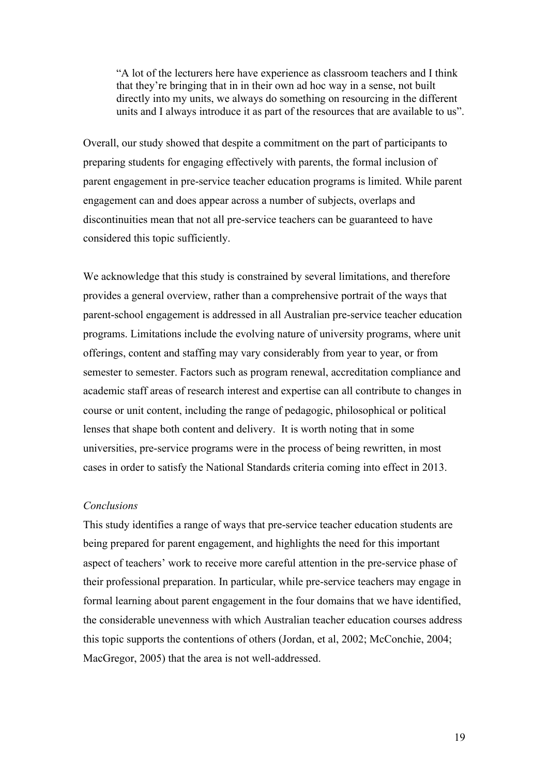"A lot of the lecturers here have experience as classroom teachers and I think that they're bringing that in in their own ad hoc way in a sense, not built directly into my units, we always do something on resourcing in the different units and I always introduce it as part of the resources that are available to us".

Overall, our study showed that despite a commitment on the part of participants to preparing students for engaging effectively with parents, the formal inclusion of parent engagement in pre-service teacher education programs is limited. While parent engagement can and does appear across a number of subjects, overlaps and discontinuities mean that not all pre-service teachers can be guaranteed to have considered this topic sufficiently.

We acknowledge that this study is constrained by several limitations, and therefore provides a general overview, rather than a comprehensive portrait of the ways that parent-school engagement is addressed in all Australian pre-service teacher education programs. Limitations include the evolving nature of university programs, where unit offerings, content and staffing may vary considerably from year to year, or from semester to semester. Factors such as program renewal, accreditation compliance and academic staff areas of research interest and expertise can all contribute to changes in course or unit content, including the range of pedagogic, philosophical or political lenses that shape both content and delivery. It is worth noting that in some universities, pre-service programs were in the process of being rewritten, in most cases in order to satisfy the National Standards criteria coming into effect in 2013.

### *Conclusions*

This study identifies a range of ways that pre-service teacher education students are being prepared for parent engagement, and highlights the need for this important aspect of teachers' work to receive more careful attention in the pre-service phase of their professional preparation. In particular, while pre-service teachers may engage in formal learning about parent engagement in the four domains that we have identified, the considerable unevenness with which Australian teacher education courses address this topic supports the contentions of others (Jordan, et al, 2002; McConchie, 2004; MacGregor, 2005) that the area is not well-addressed.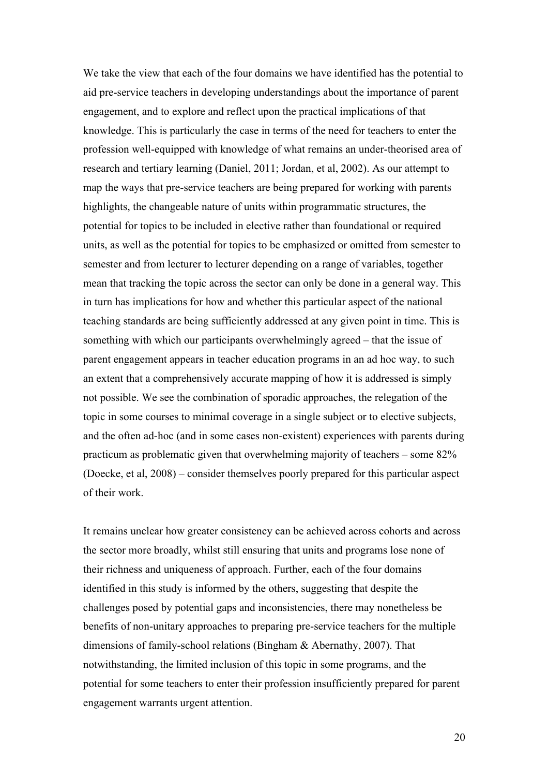We take the view that each of the four domains we have identified has the potential to aid pre-service teachers in developing understandings about the importance of parent engagement, and to explore and reflect upon the practical implications of that knowledge. This is particularly the case in terms of the need for teachers to enter the profession well-equipped with knowledge of what remains an under-theorised area of research and tertiary learning (Daniel, 2011; Jordan, et al, 2002). As our attempt to map the ways that pre-service teachers are being prepared for working with parents highlights, the changeable nature of units within programmatic structures, the potential for topics to be included in elective rather than foundational or required units, as well as the potential for topics to be emphasized or omitted from semester to semester and from lecturer to lecturer depending on a range of variables, together mean that tracking the topic across the sector can only be done in a general way. This in turn has implications for how and whether this particular aspect of the national teaching standards are being sufficiently addressed at any given point in time. This is something with which our participants overwhelmingly agreed – that the issue of parent engagement appears in teacher education programs in an ad hoc way, to such an extent that a comprehensively accurate mapping of how it is addressed is simply not possible. We see the combination of sporadic approaches, the relegation of the topic in some courses to minimal coverage in a single subject or to elective subjects, and the often ad-hoc (and in some cases non-existent) experiences with parents during practicum as problematic given that overwhelming majority of teachers – some 82% (Doecke, et al, 2008) – consider themselves poorly prepared for this particular aspect of their work.

It remains unclear how greater consistency can be achieved across cohorts and across the sector more broadly, whilst still ensuring that units and programs lose none of their richness and uniqueness of approach. Further, each of the four domains identified in this study is informed by the others, suggesting that despite the challenges posed by potential gaps and inconsistencies, there may nonetheless be benefits of non-unitary approaches to preparing pre-service teachers for the multiple dimensions of family-school relations (Bingham & Abernathy, 2007). That notwithstanding, the limited inclusion of this topic in some programs, and the potential for some teachers to enter their profession insufficiently prepared for parent engagement warrants urgent attention.

20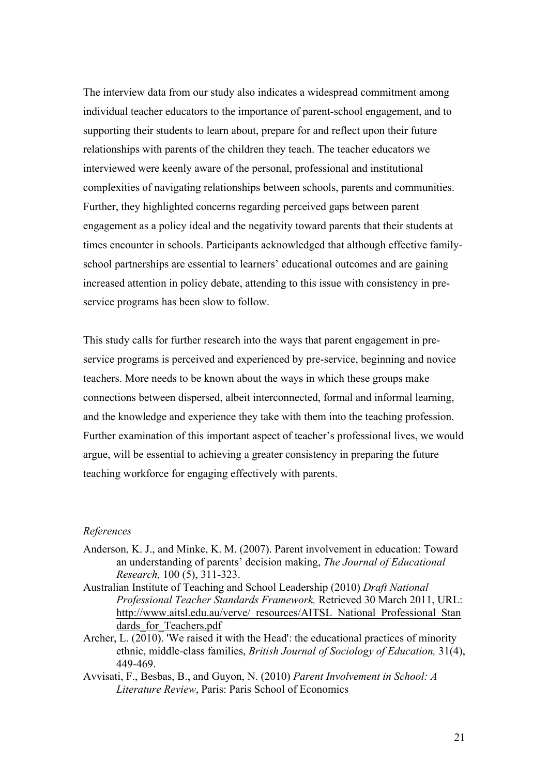The interview data from our study also indicates a widespread commitment among individual teacher educators to the importance of parent-school engagement, and to supporting their students to learn about, prepare for and reflect upon their future relationships with parents of the children they teach. The teacher educators we interviewed were keenly aware of the personal, professional and institutional complexities of navigating relationships between schools, parents and communities. Further, they highlighted concerns regarding perceived gaps between parent engagement as a policy ideal and the negativity toward parents that their students at times encounter in schools. Participants acknowledged that although effective familyschool partnerships are essential to learners' educational outcomes and are gaining increased attention in policy debate, attending to this issue with consistency in preservice programs has been slow to follow.

This study calls for further research into the ways that parent engagement in preservice programs is perceived and experienced by pre-service, beginning and novice teachers. More needs to be known about the ways in which these groups make connections between dispersed, albeit interconnected, formal and informal learning, and the knowledge and experience they take with them into the teaching profession. Further examination of this important aspect of teacher's professional lives, we would argue, will be essential to achieving a greater consistency in preparing the future teaching workforce for engaging effectively with parents.

#### *References*

- Anderson, K. J., and Minke, K. M. (2007). Parent involvement in education: Toward an understanding of parents' decision making, *The Journal of Educational Research,* 100 (5), 311-323.
- Australian Institute of Teaching and School Leadership (2010) *Draft National Professional Teacher Standards Framework,* Retrieved 30 March 2011, URL: http://www.aitsl.edu.au/verve/\_resources/AITSL\_National\_Professional\_Stan dards for Teachers.pdf
- Archer, L. (2010). 'We raised it with the Head': the educational practices of minority ethnic, middle-class families, *British Journal of Sociology of Education,* 31(4), 449-469.
- Avvisati, F., Besbas, B., and Guyon, N. (2010) *Parent Involvement in School: A Literature Review*, Paris: Paris School of Economics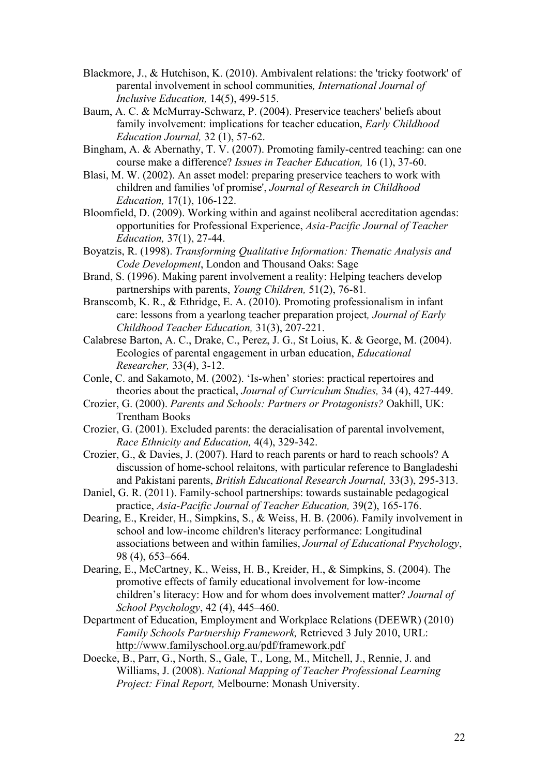- Blackmore, J., & Hutchison, K. (2010). Ambivalent relations: the 'tricky footwork' of parental involvement in school communities*, International Journal of Inclusive Education,* 14(5), 499-515.
- Baum, A. C. & McMurray-Schwarz, P. (2004). Preservice teachers' beliefs about family involvement: implications for teacher education, *Early Childhood Education Journal,* 32 (1), 57-62.
- Bingham, A. & Abernathy, T. V. (2007). Promoting family-centred teaching: can one course make a difference? *Issues in Teacher Education,* 16 (1), 37-60.
- Blasi, M. W. (2002). An asset model: preparing preservice teachers to work with children and families 'of promise', *Journal of Research in Childhood Education,* 17(1), 106-122.
- Bloomfield, D. (2009). Working within and against neoliberal accreditation agendas: opportunities for Professional Experience, *Asia-Pacific Journal of Teacher Education,* 37(1), 27-44.
- Boyatzis, R. (1998). *Transforming Qualitative Information: Thematic Analysis and Code Development*, London and Thousand Oaks: Sage
- Brand, S. (1996). Making parent involvement a reality: Helping teachers develop partnerships with parents, *Young Children,* 51(2), 76-81*.*
- Branscomb, K. R., & Ethridge, E. A. (2010). Promoting professionalism in infant care: lessons from a yearlong teacher preparation project*, Journal of Early Childhood Teacher Education,* 31(3), 207-221.
- Calabrese Barton, A. C., Drake, C., Perez, J. G., St Loius, K. & George, M. (2004). Ecologies of parental engagement in urban education, *Educational Researcher,* 33(4), 3-12.
- Conle, C. and Sakamoto, M. (2002). 'Is-when' stories: practical repertoires and theories about the practical, *Journal of Curriculum Studies,* 34 (4), 427-449.
- Crozier, G. (2000). *Parents and Schools: Partners or Protagonists?* Oakhill, UK: Trentham Books
- Crozier, G. (2001). Excluded parents: the deracialisation of parental involvement, *Race Ethnicity and Education,* 4(4), 329-342.
- Crozier, G., & Davies, J. (2007). Hard to reach parents or hard to reach schools? A discussion of home-school relaitons, with particular reference to Bangladeshi and Pakistani parents, *British Educational Research Journal,* 33(3), 295-313.
- Daniel, G. R. (2011). Family-school partnerships: towards sustainable pedagogical practice, *Asia-Pacific Journal of Teacher Education,* 39(2), 165-176.
- Dearing, E., Kreider, H., Simpkins, S., & Weiss, H. B. (2006). Family involvement in school and low-income children's literacy performance: Longitudinal associations between and within families, *Journal of Educational Psychology*, 98 (4), 653–664.
- Dearing, E., McCartney, K., Weiss, H. B., Kreider, H., & Simpkins, S. (2004). The promotive effects of family educational involvement for low-income children's literacy: How and for whom does involvement matter? *Journal of School Psychology*, 42 (4), 445–460.
- Department of Education, Employment and Workplace Relations (DEEWR) (2010) *Family Schools Partnership Framework,* Retrieved 3 July 2010, URL: http://www.familyschool.org.au/pdf/framework.pdf
- Doecke, B., Parr, G., North, S., Gale, T., Long, M., Mitchell, J., Rennie, J. and Williams, J. (2008). *National Mapping of Teacher Professional Learning Project: Final Report,* Melbourne: Monash University.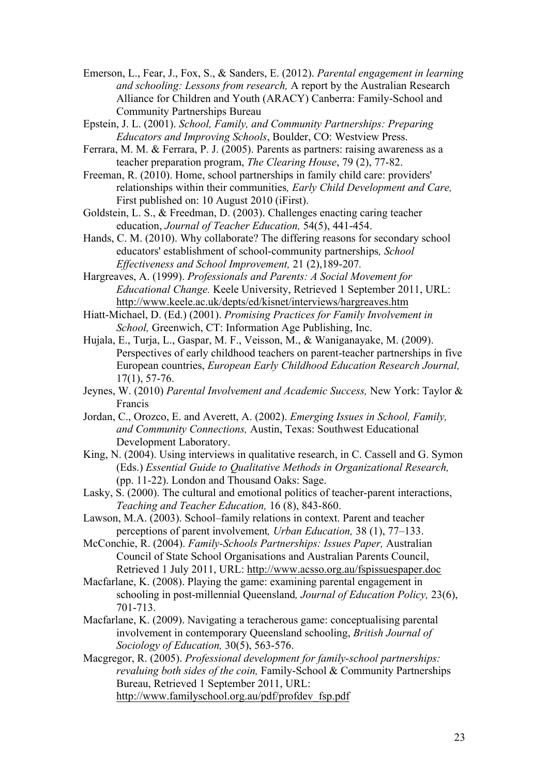Emerson, L., Fear, J., Fox, S., & Sanders, E. (2012). *Parental engagement in learning and schooling: Lessons from research,* A report by the Australian Research Alliance for Children and Youth (ARACY) Canberra: Family-School and Community Partnerships Bureau

Epstein, J. L. (2001). *School, Family, and Community Partnerships: Preparing Educators and Improving Schools*, Boulder, CO: Westview Press.

Ferrara, M. M. & Ferrara, P. J. (2005). Parents as partners: raising awareness as a teacher preparation program, *The Clearing House*, 79 (2), 77-82.

Freeman, R. (2010). Home, school partnerships in family child care: providers' relationships within their communities*, Early Child Development and Care,*  First published on: 10 August 2010 (iFirst).

Goldstein, L. S., & Freedman, D. (2003). Challenges enacting caring teacher education, *Journal of Teacher Education,* 54(5), 441-454.

Hands, C. M. (2010). Why collaborate? The differing reasons for secondary school educators' establishment of school-community partnerships*, School Effectiveness and School Improvement,* 21 (2),189-207*.*

Hargreaves, A. (1999). *Professionals and Parents: A Social Movement for Educational Change.* Keele University, Retrieved 1 September 2011, URL: http://www.keele.ac.uk/depts/ed/kisnet/interviews/hargreaves.htm

Hiatt-Michael, D. (Ed.) (2001). *Promising Practices for Family Involvement in School,* Greenwich, CT: Information Age Publishing, Inc.

Hujala, E., Turja, L., Gaspar, M. F., Veisson, M., & Waniganayake, M. (2009). Perspectives of early childhood teachers on parent-teacher partnerships in five European countries, *European Early Childhood Education Research Journal,*  17(1), 57-76.

Jeynes, W. (2010) *Parental Involvement and Academic Success,* New York: Taylor & Francis

Jordan, C., Orozco, E. and Averett, A. (2002). *Emerging Issues in School, Family, and Community Connections,* Austin, Texas: Southwest Educational Development Laboratory.

King, N. (2004). Using interviews in qualitative research, in C. Cassell and G. Symon (Eds.) *Essential Guide to Qualitative Methods in Organizational Research,*  (pp. 11-22). London and Thousand Oaks: Sage.

Lasky, S. (2000). The cultural and emotional politics of teacher-parent interactions, *Teaching and Teacher Education,* 16 (8), 843-860.

Lawson, M.A. (2003). School–family relations in context. Parent and teacher perceptions of parent involvement*, Urban Education,* 38 (1), 77–133.

McConchie, R. (2004). *Family-Schools Partnerships: Issues Paper,* Australian Council of State School Organisations and Australian Parents Council, Retrieved 1 July 2011, URL: http://www.acsso.org.au/fspissuespaper.doc

Macfarlane, K. (2008). Playing the game: examining parental engagement in schooling in post-millennial Queensland*, Journal of Education Policy,* 23(6), 701-713.

Macfarlane, K. (2009). Navigating a teracherous game: conceptualising parental involvement in contemporary Queensland schooling, *British Journal of Sociology of Education,* 30(5), 563-576.

Macgregor, R. (2005). *Professional development for family-school partnerships: revaluing both sides of the coin,* Family-School & Community Partnerships Bureau, Retrieved 1 September 2011, URL: http://www.familyschool.org.au/pdf/profdev\_fsp.pdf